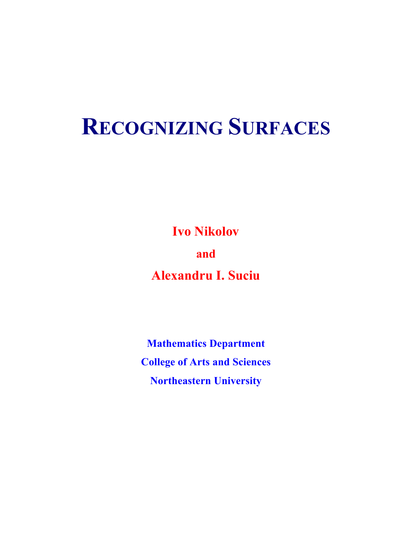# **RECOGNIZING SURFACES**

**Ivo Nikolov and Alexandru I. Suciu**

**Mathematics Department College of Arts and Sciences Northeastern University**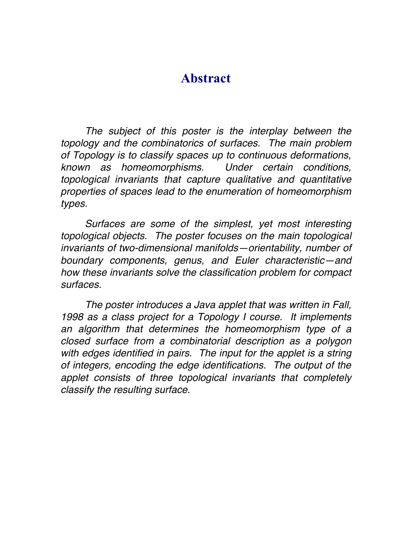# **Abstract**

The subject of this poster is the interplay between the *topology and the combinatorics of surfaces. The main problem of Topology is to classify spaces up to continuous deformations, known as homeomorphisms. Under certain conditions, topological invariants that capture qualitative and quantitative properties of spaces lead to the enumeration of homeomorphism types.* 

*Surfaces are some of the simplest, yet most interesting topological objects. The poster focuses on the main topological invariants of two-dimensional manifolds—orientability, number of boundary components, genus, and Euler characteristic—and how these invariants solve the classification problem for compact surfaces.*

*The poster introduces a Java applet that was written in Fall, 1998 as a class project for a Topology I course. It implements an algorithm that determines the homeomorphism type of a closed surface from a combinatorial description as a polygon*  with edges identified in pairs. The input for the applet is a string *of integers, encoding the edge identifications. The output of the applet consists of three topological invariants that completely classify the resulting surface.*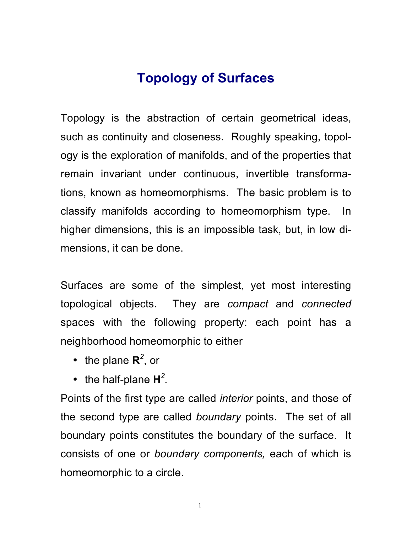# **Topology of Surfaces**

Topology is the abstraction of certain geometrical ideas, such as continuity and closeness. Roughly speaking, topology is the exploration of manifolds, and of the properties that remain invariant under continuous, invertible transformations, known as homeomorphisms. The basic problem is to classify manifolds according to homeomorphism type. In higher dimensions, this is an impossible task, but, in low dimensions, it can be done.

Surfaces are some of the simplest, yet most interesting topological objects. They are *compact* and *connected*  spaces with the following property: each point has a neighborhood homeomorphic to either

- the plane **R***<sup>2</sup>* , or
- the half-plane  $H^2$ .

Points of the first type are called *interior* points, and those of the second type are called *boundary* points. The set of all boundary points constitutes the boundary of the surface. It consists of one or *boundary components,* each of which is homeomorphic to a circle.

1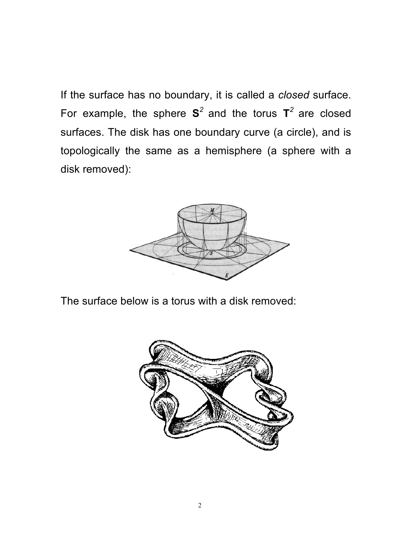If the surface has no boundary, it is called a *closed* surface. For example, the sphere  $S^2$  and the torus  $T^2$  are closed surfaces. The disk has one boundary curve (a circle), and is topologically the same as a hemisphere (a sphere with a disk removed):



The surface below is a torus with a disk removed:

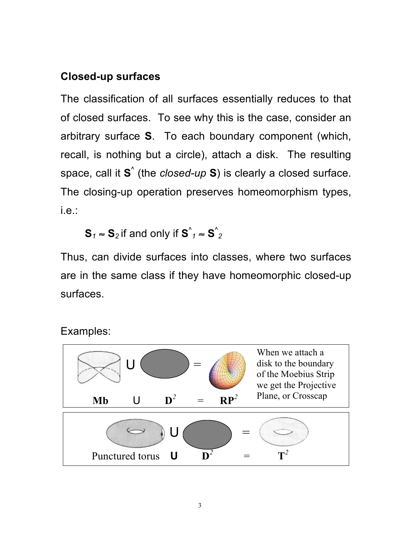## **Closed-up surfaces**

The classification of all surfaces essentially reduces to that of closed surfaces. To see why this is the case, consider an arbitrary surface **S**. To each boundary component (which, recall, is nothing but a circle), attach a disk. The resulting space, call it **S**^ (the *closed-up* **S**) is clearly a closed surface. The closing-up operation preserves homeomorphism types, i.e.:

 $\mathbf{S}_1 \approx \mathbf{S}_2$  if and only if  $\mathbf{S}^{\wedge}_{\phantom{0}1} \approx \mathbf{S}^{\wedge}_2$ 

Thus, can divide surfaces into classes, where two surfaces are in the same class if they have homeomorphic closed-up surfaces.

Examples:

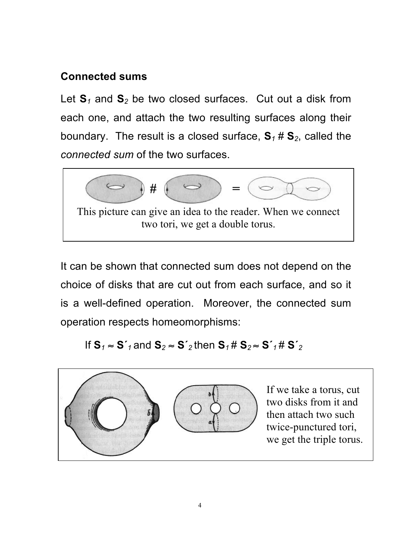## **Connected sums**

Let **S***<sup>1</sup>* and **S***<sup>2</sup>* be two closed surfaces. Cut out a disk from each one, and attach the two resulting surfaces along their boundary. The result is a closed surface,  $S_1 \# S_2$ , called the *connected sum* of the two surfaces.



It can be shown that connected sum does not depend on the choice of disks that are cut out from each surface, and so it is a well-defined operation. Moreover, the connected sum operation respects homeomorphisms:

If  $S_1 \approx S'_1$  and  $S_2 \approx S'_2$  then  $S_1 \# S_2 \approx S'_1 \# S'_2$ 

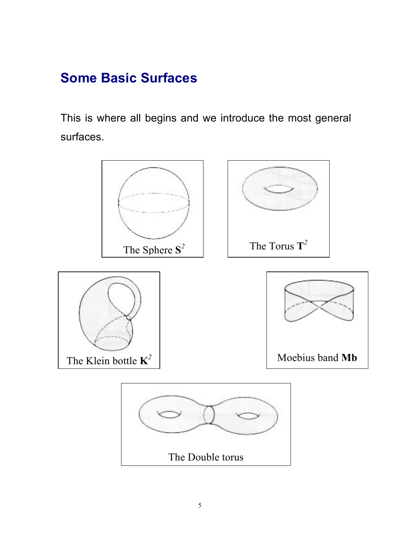# **Some Basic Surfaces**

This is where all begins and we introduce the most general surfaces.

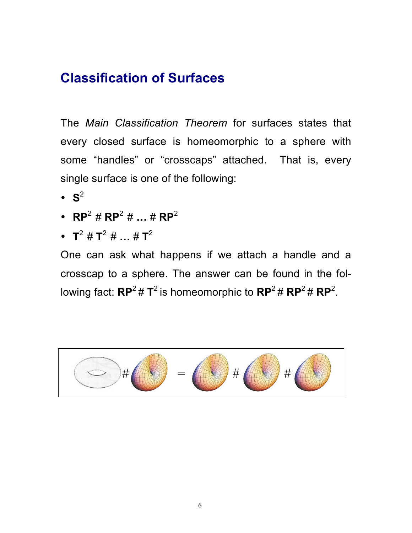# **Classification of Surfaces**

The *Main Classification Theorem* for surfaces states that every closed surface is homeomorphic to a sphere with some "handles" or "crosscaps" attached. That is, every single surface is one of the following:

- $\cdot$  S<sup>2</sup>
- **RP**2 # **RP**<sup>2</sup> # **…** # **RP**<sup>2</sup>
- $T^2 \# T^2 \# ... \# T^2$

One can ask what happens if we attach a handle and a crosscap to a sphere. The answer can be found in the following fact:  $\mathbf{RP}^2 \,\# \, \mathbf{T}^2$  is homeomorphic to  $\mathbf{RP}^2 \,\# \, \mathbf{RP}^2 \,\# \, \mathbf{RP}^2$ .

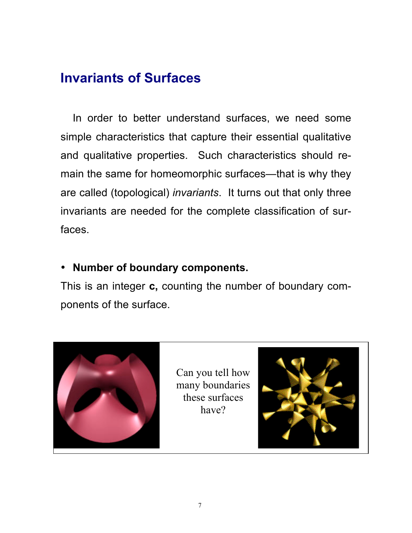# **Invariants of Surfaces**

In order to better understand surfaces, we need some simple characteristics that capture their essential qualitative and qualitative properties. Such characteristics should remain the same for homeomorphic surfaces—that is why they are called (topological) *invariants*. It turns out that only three invariants are needed for the complete classification of surfaces.

### • **Number of boundary components.**

This is an integer **c,** counting the number of boundary components of the surface.



Can you tell how many boundaries these surfaces have?

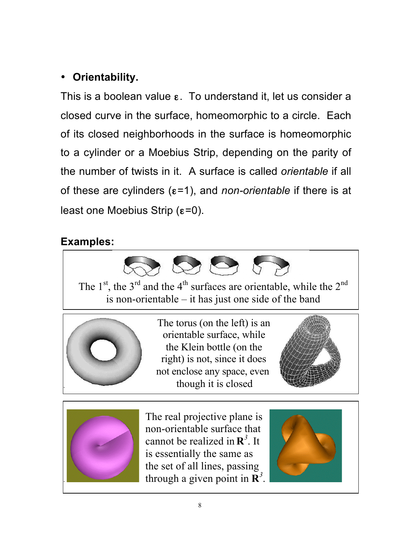# • **Orientability.**

This is a boolean value  $ε$ . To understand it, let us consider a closed curve in the surface, homeomorphic to a circle. Each of its closed neighborhoods in the surface is homeomorphic to a cylinder or a Moebius Strip, depending on the parity of the number of twists in it. A surface is called *orientable* if all of these are cylinders (ε=1), and *non-orientable* if there is at least one Moebius Strip  $(ε=0)$ .

## **Examples:**



The  $1<sup>st</sup>$ , the  $3<sup>rd</sup>$  and the  $4<sup>th</sup>$  surfaces are orientable, while the  $2<sup>nd</sup>$ is non-orientable – it has just one side of the band



The torus (on the left) is an orientable surface, while the Klein bottle (on the right) is not, since it does not enclose any space, even though it is closed

The torus (on the left) is an





The real projective plane is non-orientable surface that cannot be realized in  $\mathbb{R}^3$ . It is essentially the same as the set of all lines, passing through a given point in  $\mathbf{R}^3$ .

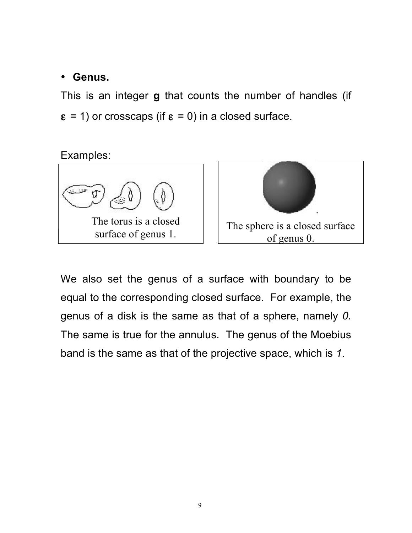### • **Genus.**

This is an integer **g** that counts the number of handles (if  $\epsilon$  = 1) or crosscaps (if  $\epsilon$  = 0) in a closed surface.

## Examples:



We also set the genus of a surface with boundary to be equal to the corresponding closed surface. For example, the genus of a disk is the same as that of a sphere, namely *0*. The same is true for the annulus. The genus of the Moebius band is the same as that of the projective space, which is *1*.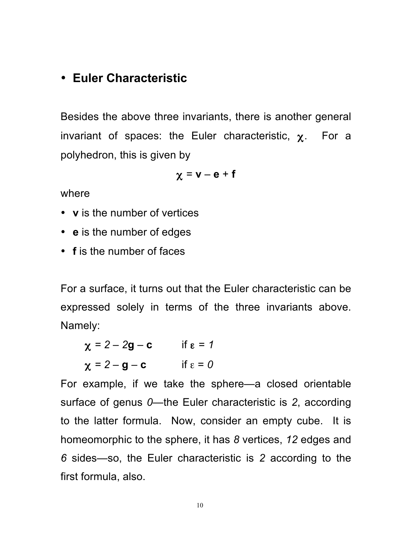## • **Euler Characteristic**

Besides the above three invariants, there is another general invariant of spaces: the Euler characteristic,  $\chi$ . For a polyhedron, this is given by

$$
\chi = v - e + f
$$

where

- **v** is the number of vertices
- **e** is the number of edges
- **f** is the number of faces

For a surface, it turns out that the Euler characteristic can be expressed solely in terms of the three invariants above. Namely:

 $\chi = 2 - 2g - c$  if  $\epsilon = 1$ 

 $\chi = 2 - g - c$  if  $\epsilon = 0$ 

For example, if we take the sphere—a closed orientable surface of genus *0*—the Euler characteristic is *2*, according to the latter formula. Now, consider an empty cube. It is homeomorphic to the sphere, it has *8* vertices, *12* edges and *6* sides—so, the Euler characteristic is *2* according to the first formula, also.

10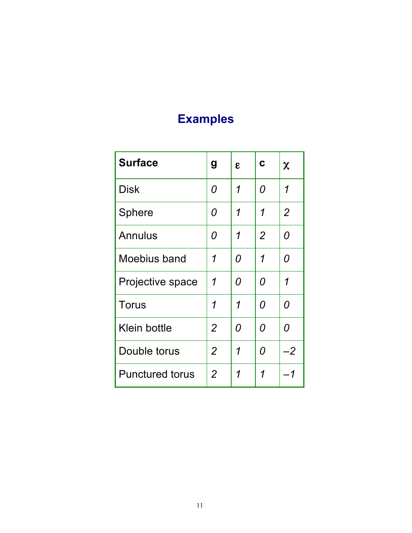# **Examples**

| <b>Surface</b>         | g              | $\mathbf{g}$ | C              | χ              |
|------------------------|----------------|--------------|----------------|----------------|
| <b>Disk</b>            | 0              | 1            | 0              | 1              |
| <b>Sphere</b>          | 0              | 1            | 1              | $\overline{2}$ |
| <b>Annulus</b>         | 0              | 1            | $\overline{2}$ | 0              |
| Moebius band           | 1              | 0            | 1              | 0              |
| Projective space       | 1              | 0            | 0              | 1              |
| <b>Torus</b>           | 1              | 1            | 0              | 0              |
| Klein bottle           | $\overline{2}$ | 0            | O              | 0              |
| Double torus           | 2              | 1            | 0              | -2             |
| <b>Punctured torus</b> | $\overline{2}$ | 1            | 1              | -1             |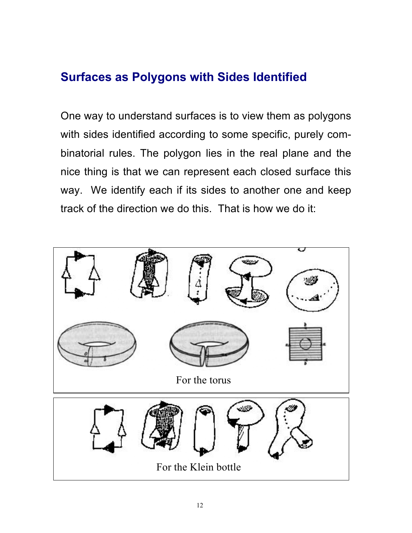# **Surfaces as Polygons with Sides Identified**

One way to understand surfaces is to view them as polygons with sides identified according to some specific, purely combinatorial rules. The polygon lies in the real plane and the nice thing is that we can represent each closed surface this way. We identify each if its sides to another one and keep track of the direction we do this. That is how we do it:

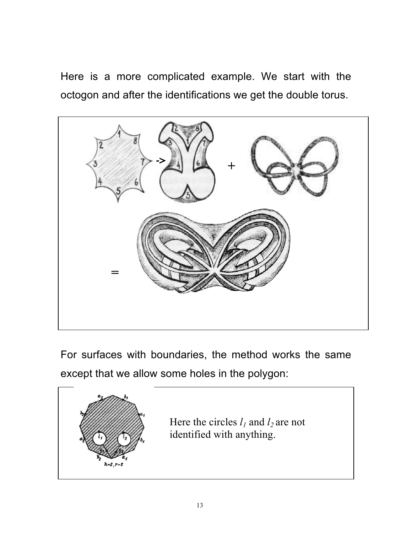Here is a more complicated example. We start with the octogon and after the identifications we get the double torus.



For surfaces with boundaries, the method works the same except that we allow some holes in the polygon:

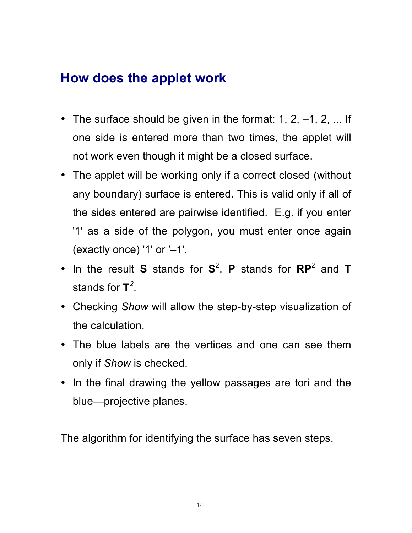# **How does the applet work**

- The surface should be given in the format: 1, 2,  $-1$ , 2, ... If one side is entered more than two times, the applet will not work even though it might be a closed surface.
- The applet will be working only if a correct closed (without any boundary) surface is entered. This is valid only if all of the sides entered are pairwise identified. E.g. if you enter '1' as a side of the polygon, you must enter once again (exactly once) '1' or '–1'.
- In the result **S** stands for **S***<sup>2</sup>* , **P** stands for **RP***<sup>2</sup>* and **T** stands for **T***<sup>2</sup>* .
- Checking *Show* will allow the step-by-step visualization of the calculation.
- The blue labels are the vertices and one can see them only if *Show* is checked.
- In the final drawing the yellow passages are tori and the blue—projective planes.

The algorithm for identifying the surface has seven steps.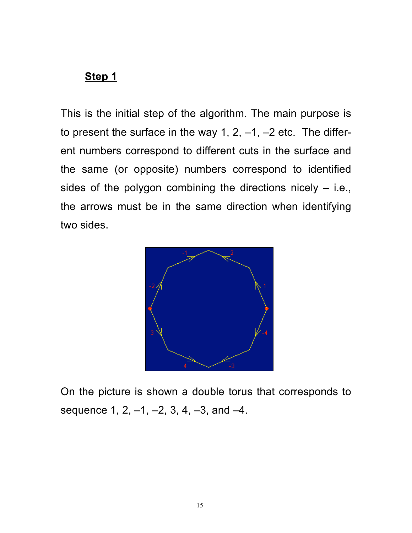This is the initial step of the algorithm. The main purpose is to present the surface in the way 1, 2,  $-1$ ,  $-2$  etc. The different numbers correspond to different cuts in the surface and the same (or opposite) numbers correspond to identified sides of the polygon combining the directions nicely  $-$  i.e., the arrows must be in the same direction when identifying two sides.



On the picture is shown a double torus that corresponds to sequence 1, 2, -1, -2, 3, 4, -3, and -4.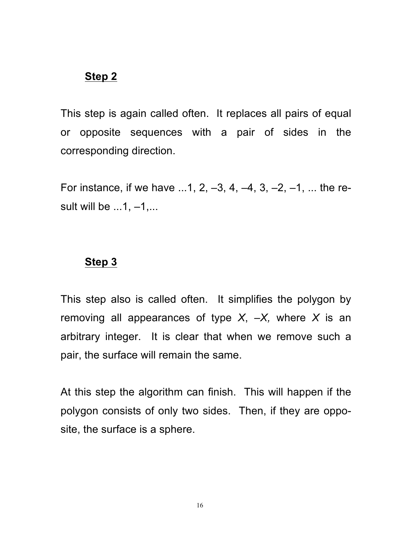This step is again called often. It replaces all pairs of equal or opposite sequences with a pair of sides in the corresponding direction.

For instance, if we have  $...1, 2, -3, 4, -4, 3, -2, -1, ...$  the result will be  $\dots$ 1,  $-1$ ,...

#### **Step 3**

This step also is called often. It simplifies the polygon by removing all appearances of type *X*, *–X,* where *X* is an arbitrary integer. It is clear that when we remove such a pair, the surface will remain the same.

At this step the algorithm can finish. This will happen if the polygon consists of only two sides. Then, if they are opposite, the surface is a sphere.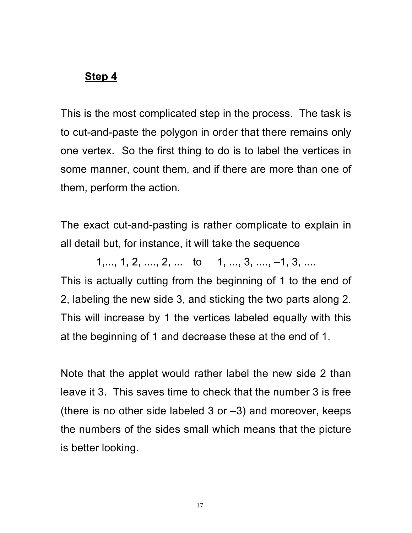This is the most complicated step in the process. The task is to cut-and-paste the polygon in order that there remains only one vertex. So the first thing to do is to label the vertices in some manner, count them, and if there are more than one of them, perform the action.

The exact cut-and-pasting is rather complicate to explain in all detail but, for instance, it will take the sequence

 $1, \ldots, 1, 2, \ldots, 2, \ldots$  to  $1, \ldots, 3, \ldots, -1, 3, \ldots$ This is actually cutting from the beginning of 1 to the end of 2, labeling the new side 3, and sticking the two parts along 2. This will increase by 1 the vertices labeled equally with this at the beginning of 1 and decrease these at the end of 1.

Note that the applet would rather label the new side 2 than leave it 3. This saves time to check that the number 3 is free (there is no other side labeled 3 or  $-3$ ) and moreover, keeps the numbers of the sides small which means that the picture is better looking.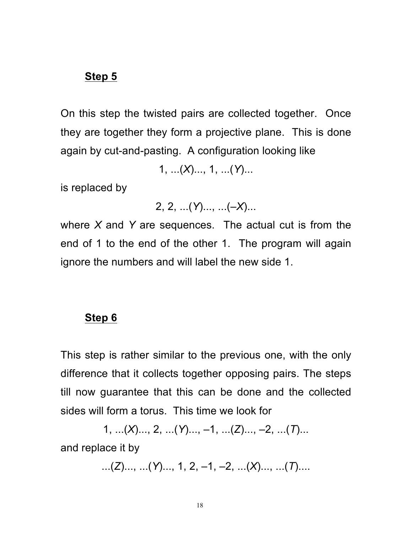On this step the twisted pairs are collected together. Once they are together they form a projective plane. This is done again by cut-and-pasting. A configuration looking like

1, ...(*X*)..., 1, ...(*Y*)...

is replaced by

2, 2, ...(*Y*)..., ...(*–X*)...

where *X* and *Y* are sequences. The actual cut is from the end of 1 to the end of the other 1. The program will again ignore the numbers and will label the new side 1.

#### **Step 6**

This step is rather similar to the previous one, with the only difference that it collects together opposing pairs. The steps till now guarantee that this can be done and the collected sides will form a torus. This time we look for

1, ...(*X*)..., 2, ...(*Y*)..., –1, ...(*Z*)..., –2, ...(*T*)... and replace it by

...(*Z*)..., ...(*Y*)..., 1, 2, –1, –2, ...(*X*)..., ...(*T*)....